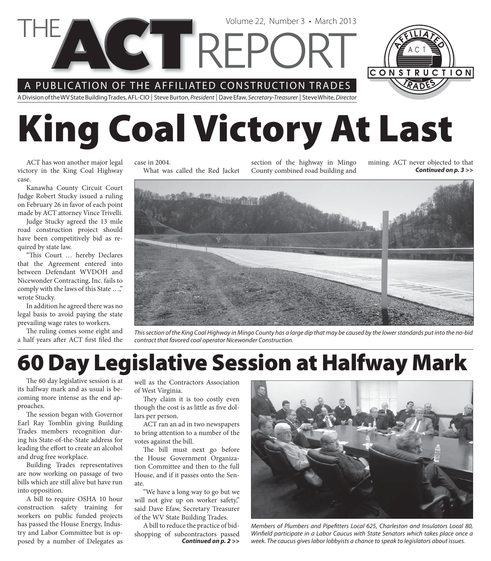A PUBLICATION OF THE AFFILIATED CONSTRUCTION TRADES

A Division of the WV State Building Trades, AFL-CIO | Steve Burton, President | Dave Efaw, Secretary-Treasurer | Steve White, Director

# **King Coal Victory At Last**

Volume 22, Number 3 • March 2013

ACT has won another major legal victory in the King Coal Highway case.

Kanawha County Circuit Court Judge Robert Stucky issued a ruling on February 26 in favor of each point made by ACT attorney Vince Trivelli.

Judge Stucky agreed the 13 mile road construction project should have been competitively bid as required by state law.

"This Court ... hereby Declares that the Agreement entered into between Defendant WVDOH and Nicewonder Contracting, Inc. fails to comply with the laws of this State …," wrote Stucky.

In addition he agreed there was no legal basis to avoid paying the state prevailing wage rates to workers.

The ruling comes some eight and a half years after ACT first filed the case in 2004. What was called the Red Jacket section of the highway in Mingo County combined road building and mining. ACT never objected to that *Continued on p. 3 >>*

CONSTRUCTION



This section of the King Coal Highway in Mingo County has a large dip that may be caused by the lower standards put into the no-bid contract that favored coal operator Nicewonder Construction.

### **60 Day Legislative Session at Halfway Mark**

The 60 day legislative session is at its halfway mark and as usual is becoming more intense as the end approaches.

The session began with Governor Earl Ray Tomblin giving Building Trades members recognition during his State-of-the-State address for leading the effort to create an alcohol and drug free workplace.

Building Trades representatives are now working on passage of two bills which are still alive but have run into opposition.

A bill to require OSHA 10 hour construction safety training for workers on public funded projects has passed the House Energy, Industry and Labor Committee but is opposed by a number of Delegates as

well as the Contractors Association of West Virginia.

They claim it is too costly even though the cost is as little as five dollars per person.

ACT ran an ad in two newspapers to bring attention to a number of the votes against the bill.

The bill must next go before the House Government Organization Committee and then to the full House, and if it passes onto the Senate.

"We have a long way to go but we will not give up on worker safety," said Dave Efaw, Secretary Treasurer of the WV State Building Trades.

*Continued on p. 2 >>* A bill to reduce the practice of bidshopping of subcontractors passed



Members of Plumbers and Pipefitters Local 625, Charleston and Insulators Local 80, Winfield participate in a Labor Caucus with State Senators which takes place once a week. The caucus gives labor lobbyists a chance to speak to legislators about issues.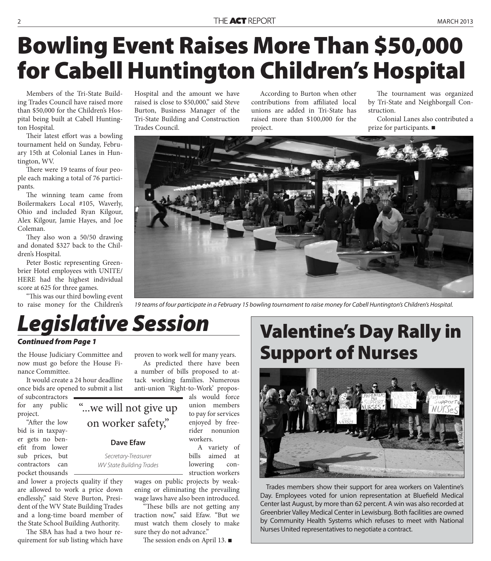## **Bowling Event Raises More Than \$50,000 for Cabell Huntington Children's Hospital**

Members of the Tri-State Building Trades Council have raised more than \$50,000 for the Children's Hospital being built at Cabell Huntington Hospital.

Their latest effort was a bowling tournament held on Sunday, February 15th at Colonial Lanes in Huntington, WV.

There were 19 teams of four people each making a total of 76 participants.

The winning team came from Boilermakers Local #105, Waverly, Ohio and included Ryan Kilgour, Alex Kilgour, Jamie Hayes, and Joe Coleman.

They also won a 50/50 drawing and donated \$327 back to the Children's Hospital.

Peter Bostic representing Greenbrier Hotel employees with UNITE/ HERE had the highest individual score at 625 for three games.

"This was our third bowling event to raise money for the Children's Hospital and the amount we have raised is close to \$50,000," said Steve Burton, Business Manager of the Tri-State Building and Construction Trades Council.

According to Burton when other contributions from affiliated local unions are added in Tri-State has raised more than \$100,000 for the project.

The tournament was organized by Tri-State and Neighborgall Construction.

Colonial Lanes also contributed a prize for participants.



19 teams of four participate in a February 15 bowling tournament to raise money for Cabell Huntington's Children's Hospital.

## *Legislative Session*

"...we will not give up

on worker safety,"

**Dave Efaw**

Secretary-Treasurer WV State Building Trades

#### *Continued from Page 1*

the House Judiciary Committee and now must go before the House Finance Committee.

It would create a 24 hour deadline once bids are opened to submit a list

of subcontractors for any public project.

"After the low bid is in taxpayer gets no benefit from lower sub prices, but contractors can pocket thousands

and lower a projects quality if they are allowed to work a price down endlessly," said Steve Burton, President of the WV State Building Trades and a long-time board member of the State School Building Authority.

The SBA has had a two hour requirement for sub listing which have proven to work well for many years.

As predicted there have been a number of bills proposed to attack working families. Numerous anti-union 'Right-to-Work' propos-

> als would force union members to pay for services enjoyed by freerider nonunion workers.

> A variety of bills aimed at lowering construction workers

wages on public projects by weakening or eliminating the prevailing wage laws have also been introduced.

"These bills are not getting any traction now," said Efaw. "But we must watch them closely to make sure they do not advance."

The session ends on April 13.  $\blacksquare$ 

### **Valentine's Day Rally in Support of Nurses**



Trades members show their support for area workers on Valentine's Day. Employees voted for union representation at Bluefield Medical Center last August, by more than 62 percent. A win was also recorded at Greenbrier Valley Medical Center in Lewisburg. Both facilities are owned by Community Health Systems which refuses to meet with National Nurses United representatives to negotiate a contract.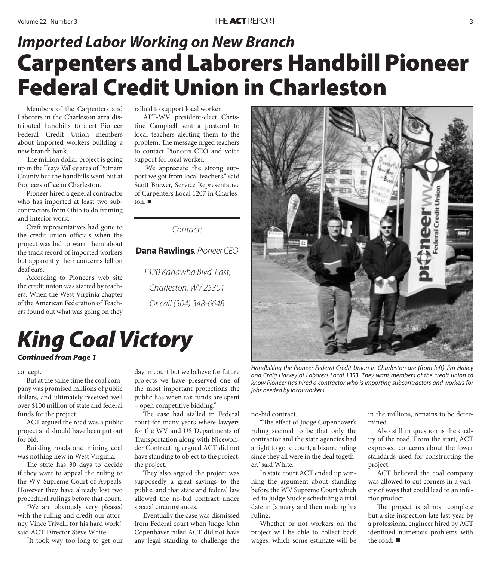### **Carpenters and Laborers Handbill Pioneer Federal Credit Union in Charleston** *Imported Labor Working on New Branch*

Members of the Carpenters and Laborers in the Charleston area distributed handbills to alert Pioneer Federal Credit Union members about imported workers building a new branch bank.

The million dollar project is going up in the Teays Valley area of Putnam County but the handbills went out at Pioneers office in Charleston.

Pioneer hired a general contractor who has imported at least two subcontractors from Ohio to do framing and interior work.

Craft representatives had gone to the credit union officials when the project was bid to warn them about the track record of imported workers but apparently their concerns fell on deaf ears.

According to Pioneer's web site the credit union was started by teachers. When the West Virginia chapter of the American Federation of Teachers found out what was going on they

rallied to support local worker.

AFT-WV president-elect Christine Campbell sent a postcard to local teachers alerting them to the problem. The message urged teachers to contact Pioneers CEO and voice support for local worker.

"We appreciate the strong support we got from local teachers," said Scott Brewer, Service Representative of Carpenters Local 1207 in Charleston.

Contact:

**Dana Rawlings**, Pioneer CEO

1320 Kanawha Blvd. East, Charleston, WV 25301 Or call (304) 348-6648

### *King Coal Victory Continued from Page 1*

#### concept.

But at the same time the coal company was promised millions of public dollars, and ultimately received well over \$100 million of state and federal funds for the project.

ACT argued the road was a public project and should have been put out for bid.

Building roads and mining coal was nothing new in West Virginia.

The state has 30 days to decide if they want to appeal the ruling to the WV Supreme Court of Appeals. However they have already lost two procedural rulings before that court.

"We are obviously very pleased with the ruling and credit our attorney Vince Trivelli for his hard work," said ACT Director Steve White.

"It took way too long to get our

day in court but we believe for future projects we have preserved one of the most important protections the public has when tax funds are spent – open competitive bidding."

The case had stalled in Federal court for many years where lawyers for the WV and US Departments of Transportation along with Nicewonder Contracting argued ACT did not have standing to object to the project, the project.

They also argued the project was supposedly a great savings to the public, and that state and federal law allowed the no-bid contract under special circumstances.

Eventually the case was dismissed from Federal court when Judge John Copenhaver ruled ACT did not have any legal standing to challenge the

Handbilling the Pioneer Federal Credit Union in Charleston are (from left) Jim Hailey and Craig Harvey of Laborers Local 1353. They want members of the credit union to know Pioneer has hired a contractor who is importing subcontractors and workers for jobs needed by local workers.

no-bid contract.

"The effect of Judge Copenhaver's ruling seemed to be that only the contractor and the state agencies had a right to go to court, a bizarre ruling since they all were in the deal together," said White.

In state court ACT ended up winning the argument about standing before the WV Supreme Court which led to Judge Stucky scheduling a trial date in January and then making his ruling.

Whether or not workers on the project will be able to collect back wages, which some estimate will be

in the millions, remains to be determined.

Also still in question is the quality of the road. From the start, ACT expressed concerns about the lower standards used for constructing the project.

ACT believed the coal company was allowed to cut corners in a variety of ways that could lead to an inferior product.

The project is almost complete but a site inspection late last year by a professional engineer hired by ACT identified numerous problems with the road.